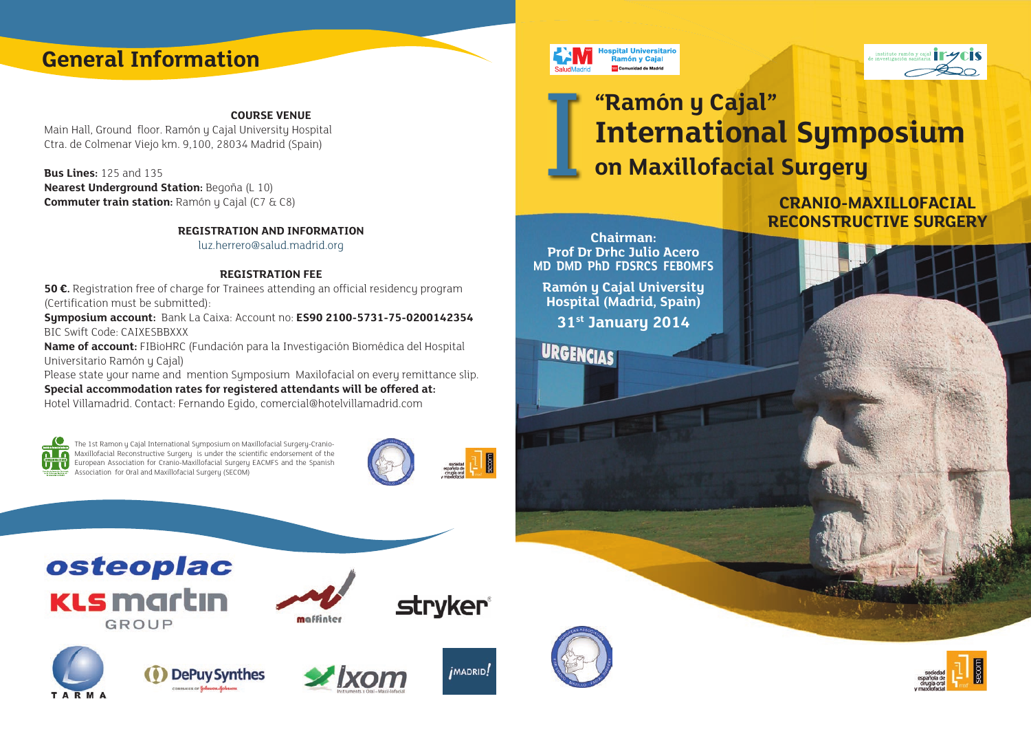## **General Information**

#### **COURSE VENUE**

Main Hall, Ground floor, Ramón y Cajal University Hospital Ctra. de Colmenar Viejo km. 9,100, 28034 Madrid (Spain)

**Bus Lines:** 125 and 135 **Nearest Underground Station:** Begoña (L 10) **Commuter train station:** Ramón y Cajal (C7 & C8)

**REGISTRATION AND INFORMATION**

luz.herrero@salud.madrid.org

#### **REGISTRATION FEE**

**50 €.** Registration free of charge for Trainees attending an official residency program (Certification must be submitted):

**Symposium account:** Bank La Caixa: Account no: **ES90 2100-5731-75-0200142354**  BIC Swift Code: CAIXESBBXXX

**Name of account:** FIBioHRC (Fundación para la Investigación Biomédica del Hospital Universitario Ramón y Cajal)

Please state your name and mention Symposium Maxilofacial on every remittance slip. **Special accommodation rates for registered attendants will be offered at:** Hotel Villamadrid. Contact: Fernando Egido, comercial@hotelvillamadrid.com



The 1st Ramon y Cajal International Symposium on Maxillofacial Surgery-Cranio-Maxillofacial Reconstructive Surgery is under the scientific endorsement of the European Association for Cranio-Maxillofacial Surgery EACMFS and the Spanish Association for Oral and Maxillofacial Surgery (SECOM)



*IMADRID!* 

osteoplac **KLS** martın **GROUP** 













# **"Ramón y Cajal" International Symposium**<br> **on Maxillofacial Surgery**

**CRANIO-MAXILLOFACIAL RECONSTRUCTIVE SURGERY** 

**Chairman: Prof Dr Drhc Julio Acero MD DMD PhD FDSRCS FEBOMFS**

pital Universitario Ramón y Cajal

**Ramón y Cajal University Hospital (Madrid, Spain) 31st January 2014**

**URGENCIAS**